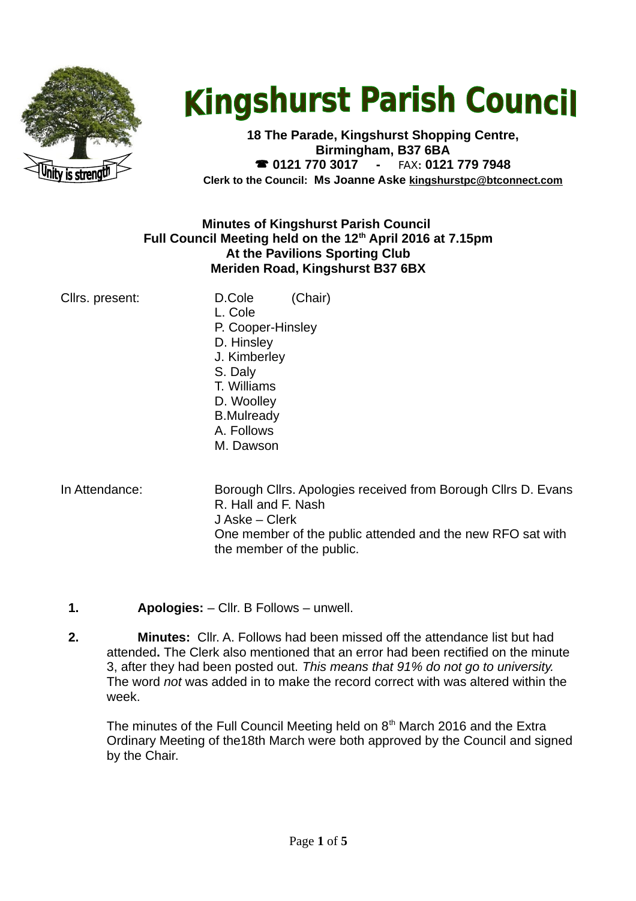

# **Kingshurst Parish Council**

**18 The Parade, Kingshurst Shopping Centre, Birmingham, B37 6BA 0121 770 3017 -** FAX**: 0121 779 7948 Clerk to the Council: Ms Joanne Aske [kingshurstpc@btconnect.com](mailto:kingshurstpc@btconnect.com)**

#### **Minutes of Kingshurst Parish Council Full Council Meeting held on the 12th April 2016 at 7.15pm At the Pavilions Sporting Club Meriden Road, Kingshurst B37 6BX**

| Clirs. present: | D.Cole            | (Chair) |
|-----------------|-------------------|---------|
|                 | L. Cole           |         |
|                 | P. Cooper-Hinsley |         |
|                 | D. Hinsley        |         |
|                 | J. Kimberley      |         |
|                 | S. Daly           |         |
|                 |                   |         |

- T. Williams D. Woolley B.Mulready A. Follows
- M. Dawson
- 

In Attendance: Borough Cllrs. Apologies received from Borough Cllrs D. Evans R. Hall and F. Nash J Aske – Clerk One member of the public attended and the new RFO sat with the member of the public.

- **1. Apologies:** Cllr. B Follows unwell.
- **2. Minutes:** Cllr. A. Follows had been missed off the attendance list but had attended**.** The Clerk also mentioned that an error had been rectified on the minute 3, after they had been posted out. *This means that 91% do not go to university.*  The word *not* was added in to make the record correct with was altered within the week.

The minutes of the Full Council Meeting held on  $8<sup>th</sup>$  March 2016 and the Extra Ordinary Meeting of the18th March were both approved by the Council and signed by the Chair.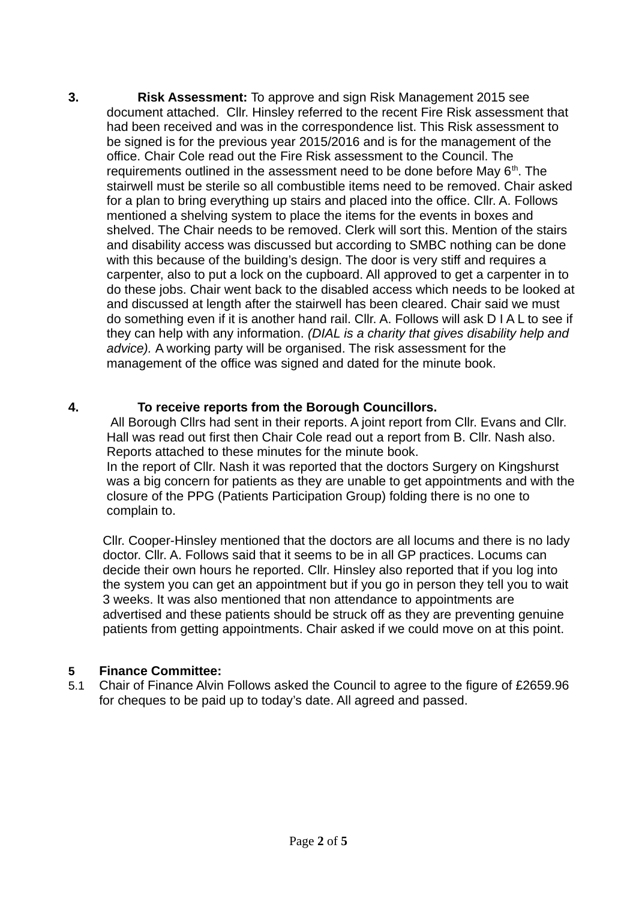**3. Risk Assessment:** To approve and sign Risk Management 2015 see document attached.Cllr. Hinsley referred to the recent Fire Risk assessment that had been received and was in the correspondence list. This Risk assessment to be signed is for the previous year 2015/2016 and is for the management of the office. Chair Cole read out the Fire Risk assessment to the Council. The requirements outlined in the assessment need to be done before May  $6<sup>th</sup>$ . The stairwell must be sterile so all combustible items need to be removed. Chair asked for a plan to bring everything up stairs and placed into the office. Cllr. A. Follows mentioned a shelving system to place the items for the events in boxes and shelved. The Chair needs to be removed. Clerk will sort this. Mention of the stairs and disability access was discussed but according to SMBC nothing can be done with this because of the building's design. The door is very stiff and requires a carpenter, also to put a lock on the cupboard. All approved to get a carpenter in to do these jobs. Chair went back to the disabled access which needs to be looked at and discussed at length after the stairwell has been cleared. Chair said we must do something even if it is another hand rail. Cllr. A. Follows will ask D I A L to see if they can help with any information. *(DIAL is a charity that gives disability help and advice).* A working party will be organised. The risk assessment for the management of the office was signed and dated for the minute book.

#### **4. To receive reports from the Borough Councillors.**

All Borough Cllrs had sent in their reports. A joint report from Cllr. Evans and Cllr. Hall was read out first then Chair Cole read out a report from B. Cllr. Nash also. Reports attached to these minutes for the minute book. In the report of Cllr. Nash it was reported that the doctors Surgery on Kingshurst

was a big concern for patients as they are unable to get appointments and with the closure of the PPG (Patients Participation Group) folding there is no one to complain to.

 Cllr. Cooper-Hinsley mentioned that the doctors are all locums and there is no lady doctor. Cllr. A. Follows said that it seems to be in all GP practices. Locums can decide their own hours he reported. Cllr. Hinsley also reported that if you log into the system you can get an appointment but if you go in person they tell you to wait 3 weeks. It was also mentioned that non attendance to appointments are advertised and these patients should be struck off as they are preventing genuine patients from getting appointments. Chair asked if we could move on at this point.

#### **5 Finance Committee:**

5.1 Chair of Finance Alvin Follows asked the Council to agree to the figure of £2659.96 for cheques to be paid up to today's date. All agreed and passed.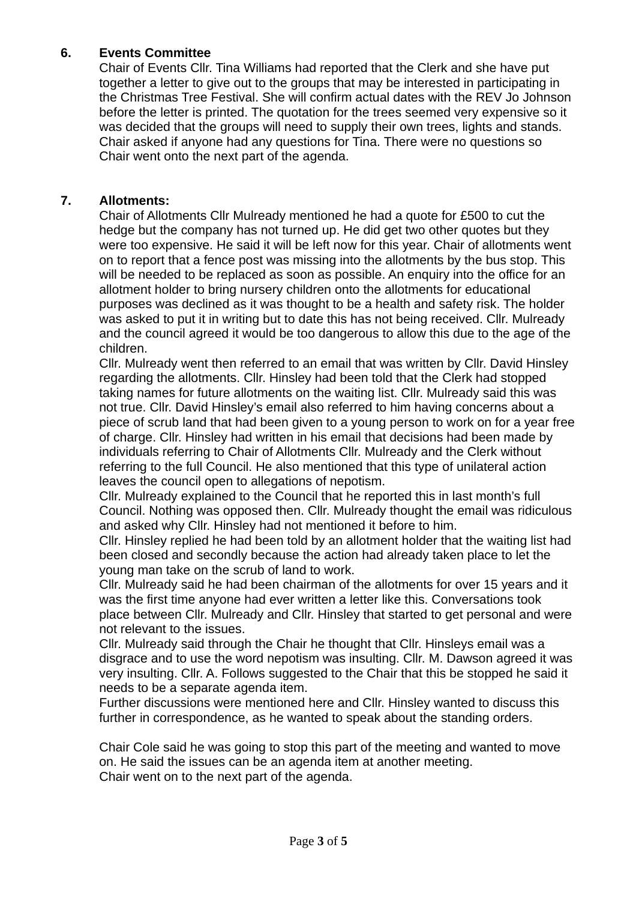# **6. Events Committee**

Chair of Events Cllr. Tina Williams had reported that the Clerk and she have put together a letter to give out to the groups that may be interested in participating in the Christmas Tree Festival. She will confirm actual dates with the REV Jo Johnson before the letter is printed. The quotation for the trees seemed very expensive so it was decided that the groups will need to supply their own trees, lights and stands. Chair asked if anyone had any questions for Tina. There were no questions so Chair went onto the next part of the agenda.

### **7. Allotments:**

Chair of Allotments Cllr Mulready mentioned he had a quote for £500 to cut the hedge but the company has not turned up. He did get two other quotes but they were too expensive. He said it will be left now for this year. Chair of allotments went on to report that a fence post was missing into the allotments by the bus stop. This will be needed to be replaced as soon as possible. An enquiry into the office for an allotment holder to bring nursery children onto the allotments for educational purposes was declined as it was thought to be a health and safety risk. The holder was asked to put it in writing but to date this has not being received. Cllr. Mulready and the council agreed it would be too dangerous to allow this due to the age of the children.

Cllr. Mulready went then referred to an email that was written by Cllr. David Hinsley regarding the allotments. Cllr. Hinsley had been told that the Clerk had stopped taking names for future allotments on the waiting list. Cllr. Mulready said this was not true. Cllr. David Hinsley's email also referred to him having concerns about a piece of scrub land that had been given to a young person to work on for a year free of charge. Cllr. Hinsley had written in his email that decisions had been made by individuals referring to Chair of Allotments Cllr. Mulready and the Clerk without referring to the full Council. He also mentioned that this type of unilateral action leaves the council open to allegations of nepotism.

Cllr. Mulready explained to the Council that he reported this in last month's full Council. Nothing was opposed then. Cllr. Mulready thought the email was ridiculous and asked why Cllr. Hinsley had not mentioned it before to him.

Cllr. Hinsley replied he had been told by an allotment holder that the waiting list had been closed and secondly because the action had already taken place to let the young man take on the scrub of land to work.

Cllr. Mulready said he had been chairman of the allotments for over 15 years and it was the first time anyone had ever written a letter like this. Conversations took place between Cllr. Mulready and Cllr. Hinsley that started to get personal and were not relevant to the issues.

Cllr. Mulready said through the Chair he thought that Cllr. Hinsleys email was a disgrace and to use the word nepotism was insulting. Cllr. M. Dawson agreed it was very insulting. Cllr. A. Follows suggested to the Chair that this be stopped he said it needs to be a separate agenda item.

Further discussions were mentioned here and Cllr. Hinsley wanted to discuss this further in correspondence, as he wanted to speak about the standing orders.

Chair Cole said he was going to stop this part of the meeting and wanted to move on. He said the issues can be an agenda item at another meeting. Chair went on to the next part of the agenda.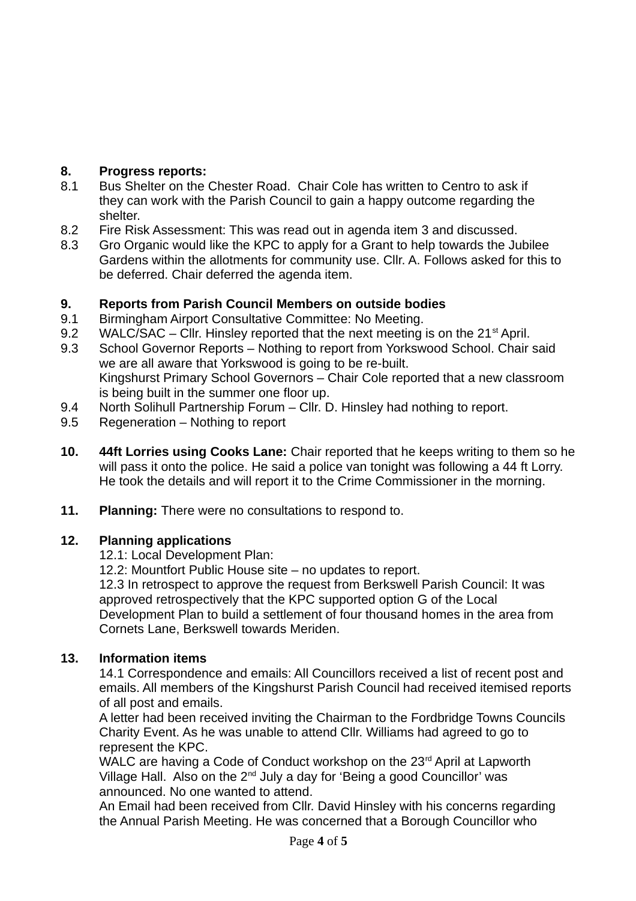# **8. Progress reports:**

- 8.1 Bus Shelter on the Chester Road. Chair Cole has written to Centro to ask if they can work with the Parish Council to gain a happy outcome regarding the shelter.
- 8.2 Fire Risk Assessment: This was read out in agenda item 3 and discussed.
- 8.3 Gro Organic would like the KPC to apply for a Grant to help towards the Jubilee Gardens within the allotments for community use. Cllr. A. Follows asked for this to be deferred. Chair deferred the agenda item.

# **9. Reports from Parish Council Members on outside bodies**

- 9.1 Birmingham Airport Consultative Committee: No Meeting.
- 9.2 WALC/SAC Cllr. Hinsley reported that the next meeting is on the  $21<sup>st</sup>$  April.
- 9.3 School Governor Reports Nothing to report from Yorkswood School. Chair said we are all aware that Yorkswood is going to be re-built. Kingshurst Primary School Governors – Chair Cole reported that a new classroom is being built in the summer one floor up.
- 9.4 North Solihull Partnership Forum Cllr. D. Hinsley had nothing to report.
- 9.5 Regeneration Nothing to report
- **10. 44ft Lorries using Cooks Lane:** Chair reported that he keeps writing to them so he will pass it onto the police. He said a police van tonight was following a 44 ft Lorry. He took the details and will report it to the Crime Commissioner in the morning.
- **11. Planning:** There were no consultations to respond to.

## **12. Planning applications**

12.1: Local Development Plan:

12.2: Mountfort Public House site – no updates to report.

12.3 In retrospect to approve the request from Berkswell Parish Council: It was approved retrospectively that the KPC supported option G of the Local Development Plan to build a settlement of four thousand homes in the area from Cornets Lane, Berkswell towards Meriden.

## **13. Information items**

14.1 Correspondence and emails: All Councillors received a list of recent post and emails. All members of the Kingshurst Parish Council had received itemised reports of all post and emails.

A letter had been received inviting the Chairman to the Fordbridge Towns Councils Charity Event. As he was unable to attend Cllr. Williams had agreed to go to represent the KPC.

WALC are having a Code of Conduct workshop on the 23<sup>rd</sup> April at Lapworth Village Hall. Also on the  $2^{nd}$  July a day for 'Being a good Councillor' was announced. No one wanted to attend.

An Email had been received from Cllr. David Hinsley with his concerns regarding the Annual Parish Meeting. He was concerned that a Borough Councillor who